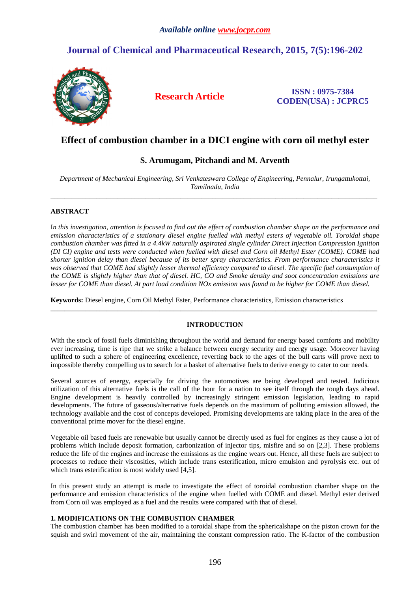# **Journal of Chemical and Pharmaceutical Research, 2015, 7(5):196-202**



**Research Article ISSN : 0975-7384 CODEN(USA) : JCPRC5**

## **Effect of combustion chamber in a DICI engine with corn oil methyl ester**

## **S. Arumugam, Pitchandi and M. Arventh**

*Department of Mechanical Engineering, Sri Venkateswara College of Engineering, Pennalur, Irungattukottai, Tamilnadu, India*  \_\_\_\_\_\_\_\_\_\_\_\_\_\_\_\_\_\_\_\_\_\_\_\_\_\_\_\_\_\_\_\_\_\_\_\_\_\_\_\_\_\_\_\_\_\_\_\_\_\_\_\_\_\_\_\_\_\_\_\_\_\_\_\_\_\_\_\_\_\_\_\_\_\_\_\_\_\_\_\_\_\_\_\_\_\_\_\_\_\_\_\_\_

### **ABSTRACT**

I*n this investigation, attention is focused to find out the effect of combustion chamber shape on the performance and emission characteristics of a stationary diesel engine fuelled with methyl esters of vegetable oil. Toroidal shape combustion chamber was fitted in a 4.4kW naturally aspirated single cylinder Direct Injection Compression Ignition (DI CI) engine and tests were conducted when fuelled with diesel and Corn oil Methyl Ester (COME). COME had shorter ignition delay than diesel because of its better spray characteristics. From performance characteristics it*  was observed that COME had slightly lesser thermal efficiency compared to diesel. The specific fuel consumption of *the COME is slightly higher than that of diesel. HC, CO and Smoke density and soot concentration emissions are lesser for COME than diesel. At part load condition NOx emission was found to be higher for COME than diesel.* 

**Keywords:** Diesel engine, Corn Oil Methyl Ester, Performance characteristics, Emission characteristics

#### **INTRODUCTION**

\_\_\_\_\_\_\_\_\_\_\_\_\_\_\_\_\_\_\_\_\_\_\_\_\_\_\_\_\_\_\_\_\_\_\_\_\_\_\_\_\_\_\_\_\_\_\_\_\_\_\_\_\_\_\_\_\_\_\_\_\_\_\_\_\_\_\_\_\_\_\_\_\_\_\_\_\_\_\_\_\_\_\_\_\_\_\_\_\_\_\_\_\_

With the stock of fossil fuels diminishing throughout the world and demand for energy based comforts and mobility ever increasing, time is ripe that we strike a balance between energy security and energy usage. Moreover having uplifted to such a sphere of engineering excellence, reverting back to the ages of the bull carts will prove next to impossible thereby compelling us to search for a basket of alternative fuels to derive energy to cater to our needs.

Several sources of energy, especially for driving the automotives are being developed and tested. Judicious utilization of this alternative fuels is the call of the hour for a nation to see itself through the tough days ahead. Engine development is heavily controlled by increasingly stringent emission legislation, leading to rapid developments. The future of gaseous/alternative fuels depends on the maximum of polluting emission allowed, the technology available and the cost of concepts developed. Promising developments are taking place in the area of the conventional prime mover for the diesel engine.

Vegetable oil based fuels are renewable but usually cannot be directly used as fuel for engines as they cause a lot of problems which include deposit formation, carbonization of injector tips, misfire and so on [2,3]. These problems reduce the life of the engines and increase the emissions as the engine wears out. Hence, all these fuels are subject to processes to reduce their viscosities, which include trans esterification, micro emulsion and pyrolysis etc. out of which trans esterification is most widely used [4,5].

In this present study an attempt is made to investigate the effect of toroidal combustion chamber shape on the performance and emission characteristics of the engine when fuelled with COME and diesel. Methyl ester derived from Corn oil was employed as a fuel and the results were compared with that of diesel.

## **1. MODIFICATIONS ON THE COMBUSTION CHAMBER**

The combustion chamber has been modified to a toroidal shape from the sphericalshape on the piston crown for the squish and swirl movement of the air, maintaining the constant compression ratio. The K-factor of the combustion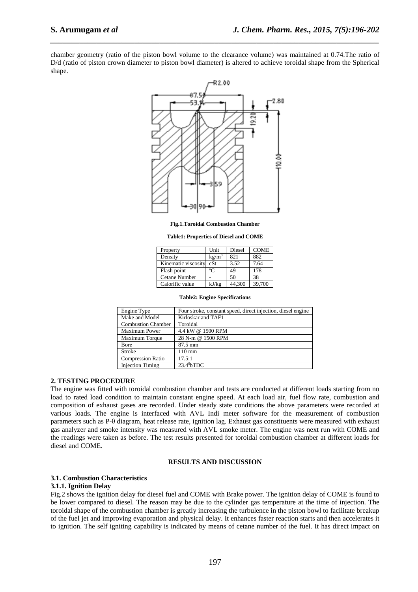chamber geometry (ratio of the piston bowl volume to the clearance volume) was maintained at 0.74.The ratio of D/d (ratio of piston crown diameter to piston bowl diameter) is altered to achieve toroidal shape from the Spherical shape.

*\_\_\_\_\_\_\_\_\_\_\_\_\_\_\_\_\_\_\_\_\_\_\_\_\_\_\_\_\_\_\_\_\_\_\_\_\_\_\_\_\_\_\_\_\_\_\_\_\_\_\_\_\_\_\_\_\_\_\_\_\_\_\_\_\_\_\_\_\_\_\_\_\_\_\_\_\_\_*



**Fig.1.Toroidal Combustion Chamber** 

**Table1: Properties of Diesel and COME** 

| Property            | Unit              | Diesel | <b>COME</b> |
|---------------------|-------------------|--------|-------------|
| Density             | kg/m <sup>3</sup> | 821    | 882         |
| Kinematic viscosity | cSt               | 3.52   | 7.64        |
| Flash point         | °∩                | 49     | 178         |
| Cetane Number       |                   | 50     | 38          |
| Calorific value     | kJ/kg             | 44,300 | 39,700      |

| <b>Table2: Engine Specifications</b> |  |
|--------------------------------------|--|
|--------------------------------------|--|

| Engine Type               | Four stroke, constant speed, direct injection, diesel engine |
|---------------------------|--------------------------------------------------------------|
| Make and Model            | Kirloskar and TAF1                                           |
| <b>Combustion Chamber</b> | Toroidal                                                     |
| <b>Maximum Power</b>      | 4.4 kW @ 1500 RPM                                            |
| Maximum Torque            | 28 N-m @ 1500 RPM                                            |
| Bore                      | $87.5 \text{ mm}$                                            |
| Stroke                    | $110 \text{ mm}$                                             |
| <b>Compression Ratio</b>  | 17.5:1                                                       |
| <b>Injection Timing</b>   | $23.4^{\circ}$ bTDC                                          |

#### **2. TESTING PROCEDURE**

The engine was fitted with toroidal combustion chamber and tests are conducted at different loads starting from no load to rated load condition to maintain constant engine speed. At each load air, fuel flow rate, combustion and composition of exhaust gases are recorded. Under steady state conditions the above parameters were recorded at various loads. The engine is interfaced with AVL Indi meter software for the measurement of combustion parameters such as P-θ diagram, heat release rate, ignition lag. Exhaust gas constituents were measured with exhaust gas analyzer and smoke intensity was measured with AVL smoke meter. The engine was next run with COME and the readings were taken as before. The test results presented for toroidal combustion chamber at different loads for diesel and COME.

#### **RESULTS AND DISCUSSION**

## **3.1. Combustion Characteristics**

#### **3.1.1. Ignition Delay**

Fig.2 shows the ignition delay for diesel fuel and COME with Brake power. The ignition delay of COME is found to be lower compared to diesel. The reason may be due to the cylinder gas temperature at the time of injection. The toroidal shape of the combustion chamber is greatly increasing the turbulence in the piston bowl to facilitate breakup of the fuel jet and improving evaporation and physical delay. It enhances faster reaction starts and then accelerates it to ignition. The self igniting capability is indicated by means of cetane number of the fuel. It has direct impact on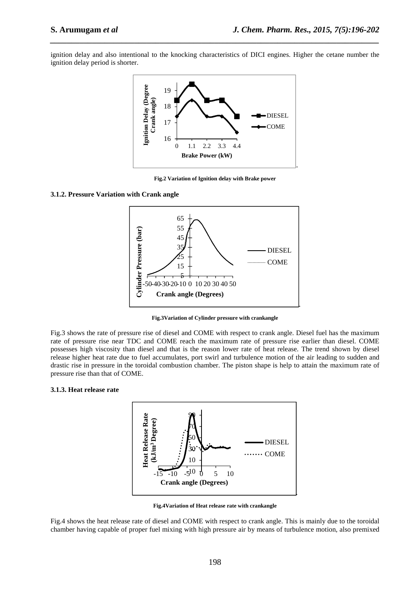ignition delay and also intentional to the knocking characteristics of DICI engines. Higher the cetane number the ignition delay period is shorter.

*\_\_\_\_\_\_\_\_\_\_\_\_\_\_\_\_\_\_\_\_\_\_\_\_\_\_\_\_\_\_\_\_\_\_\_\_\_\_\_\_\_\_\_\_\_\_\_\_\_\_\_\_\_\_\_\_\_\_\_\_\_\_\_\_\_\_\_\_\_\_\_\_\_\_\_\_\_\_*



**Fig.2 Variation of Ignition delay with Brake power** 

#### **3.1.2. Pressure Variation with Crank angle**



**Fig.3Variation of Cylinder pressure with crankangle**

Fig.3 shows the rate of pressure rise of diesel and COME with respect to crank angle. Diesel fuel has the maximum rate of pressure rise near TDC and COME reach the maximum rate of pressure rise earlier than diesel. COME possesses high viscosity than diesel and that is the reason lower rate of heat release. The trend shown by diesel release higher heat rate due to fuel accumulates, port swirl and turbulence motion of the air leading to sudden and drastic rise in pressure in the toroidal combustion chamber. The piston shape is help to attain the maximum rate of pressure rise than that of COME.

#### **3.1.3. Heat release rate**



**Fig.4Variation of Heat release rate with crankangle**

Fig.4 shows the heat release rate of diesel and COME with respect to crank angle. This is mainly due to the toroidal chamber having capable of proper fuel mixing with high pressure air by means of turbulence motion, also premixed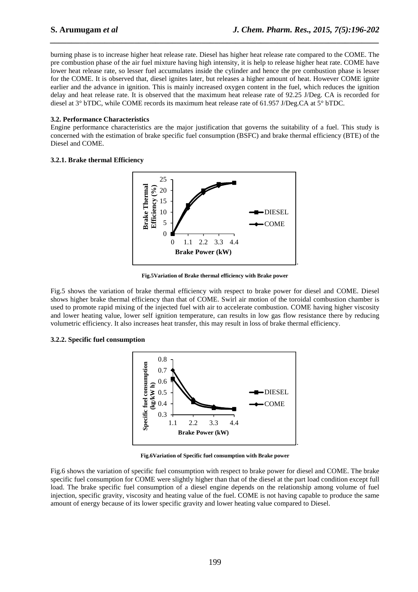burning phase is to increase higher heat release rate. Diesel has higher heat release rate compared to the COME. The pre combustion phase of the air fuel mixture having high intensity, it is help to release higher heat rate. COME have lower heat release rate, so lesser fuel accumulates inside the cylinder and hence the pre combustion phase is lesser for the COME. It is observed that, diesel ignites later, but releases a higher amount of heat. However COME ignite earlier and the advance in ignition. This is mainly increased oxygen content in the fuel, which reduces the ignition delay and heat release rate. It is observed that the maximum heat release rate of 92.25 J/Deg. CA is recorded for diesel at 3° bTDC, while COME records its maximum heat release rate of 61.957 J/Deg.CA at 5° bTDC.

*\_\_\_\_\_\_\_\_\_\_\_\_\_\_\_\_\_\_\_\_\_\_\_\_\_\_\_\_\_\_\_\_\_\_\_\_\_\_\_\_\_\_\_\_\_\_\_\_\_\_\_\_\_\_\_\_\_\_\_\_\_\_\_\_\_\_\_\_\_\_\_\_\_\_\_\_\_\_*

#### **3.2. Performance Characteristics**

Engine performance characteristics are the major justification that governs the suitability of a fuel. This study is concerned with the estimation of brake specific fuel consumption (BSFC) and brake thermal efficiency (BTE) of the Diesel and COME.

#### **3.2.1. Brake thermal Efficiency**



**Fig.5Variation of Brake thermal efficiency with Brake power** 

Fig.5 shows the variation of brake thermal efficiency with respect to brake power for diesel and COME. Diesel shows higher brake thermal efficiency than that of COME. Swirl air motion of the toroidal combustion chamber is used to promote rapid mixing of the injected fuel with air to accelerate combustion. COME having higher viscosity and lower heating value, lower self ignition temperature, can results in low gas flow resistance there by reducing volumetric efficiency. It also increases heat transfer, this may result in loss of brake thermal efficiency.

#### **3.2.2. Specific fuel consumption**



**Fig.6Variation of Specific fuel consumption with Brake power** 

Fig.6 shows the variation of specific fuel consumption with respect to brake power for diesel and COME. The brake specific fuel consumption for COME were slightly higher than that of the diesel at the part load condition except full load. The brake specific fuel consumption of a diesel engine depends on the relationship among volume of fuel injection, specific gravity, viscosity and heating value of the fuel. COME is not having capable to produce the same amount of energy because of its lower specific gravity and lower heating value compared to Diesel.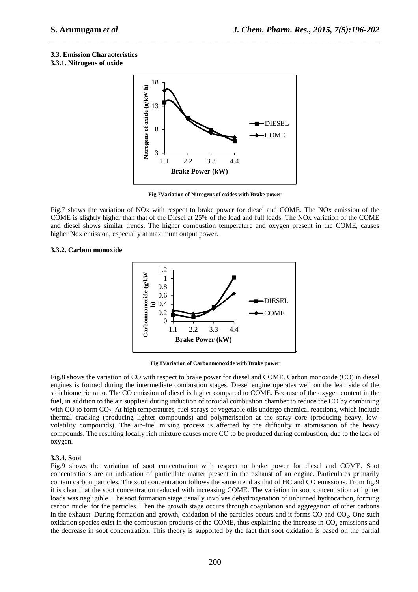### **3.3. Emission Characteristics**

#### **3.3.1. Nitrogens of oxide**



*\_\_\_\_\_\_\_\_\_\_\_\_\_\_\_\_\_\_\_\_\_\_\_\_\_\_\_\_\_\_\_\_\_\_\_\_\_\_\_\_\_\_\_\_\_\_\_\_\_\_\_\_\_\_\_\_\_\_\_\_\_\_\_\_\_\_\_\_\_\_\_\_\_\_\_\_\_\_*

**Fig.7Variation of Nitrogens of oxides with Brake power** 

Fig.7 shows the variation of NOx with respect to brake power for diesel and COME. The NOx emission of the COME is slightly higher than that of the Diesel at 25% of the load and full loads. The NOx variation of the COME and diesel shows similar trends. The higher combustion temperature and oxygen present in the COME, causes higher Nox emission, especially at maximum output power.

#### **3.3.2. Carbon monoxide**



**Fig.8Variation of Carbonmonoxide with Brake power** 

Fig.8 shows the variation of CO with respect to brake power for diesel and COME. Carbon monoxide (CO) in diesel engines is formed during the intermediate combustion stages. Diesel engine operates well on the lean side of the stoichiometric ratio. The CO emission of diesel is higher compared to COME. Because of the oxygen content in the fuel, in addition to the air supplied during induction of toroidal combustion chamber to reduce the CO by combining with CO to form CO<sub>2</sub>. At high temperatures, fuel sprays of vegetable oils undergo chemical reactions, which include thermal cracking (producing lighter compounds) and polymerisation at the spray core (producing heavy, lowvolatility compounds). The air–fuel mixing process is affected by the difficulty in atomisation of the heavy compounds. The resulting locally rich mixture causes more CO to be produced during combustion, due to the lack of oxygen.

#### **3.3.4. Soot**

Fig.9 shows the variation of soot concentration with respect to brake power for diesel and COME. Soot concentrations are an indication of particulate matter present in the exhaust of an engine. Particulates primarily contain carbon particles. The soot concentration follows the same trend as that of HC and CO emissions. From fig.9 it is clear that the soot concentration reduced with increasing COME. The variation in soot concentration at lighter loads was negligible. The soot formation stage usually involves dehydrogenation of unburned hydrocarbon, forming carbon nuclei for the particles. Then the growth stage occurs through coagulation and aggregation of other carbons in the exhaust. During formation and growth, oxidation of the particles occurs and it forms CO and CO<sub>2</sub>. One such oxidation species exist in the combustion products of the COME, thus explaining the increase in  $CO<sub>2</sub>$  emissions and the decrease in soot concentration. This theory is supported by the fact that soot oxidation is based on the partial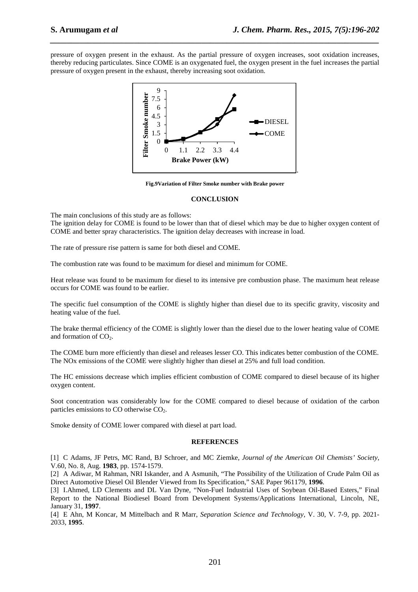pressure of oxygen present in the exhaust. As the partial pressure of oxygen increases, soot oxidation increases, thereby reducing particulates. Since COME is an oxygenated fuel, the oxygen present in the fuel increases the partial pressure of oxygen present in the exhaust, thereby increasing soot oxidation.

*\_\_\_\_\_\_\_\_\_\_\_\_\_\_\_\_\_\_\_\_\_\_\_\_\_\_\_\_\_\_\_\_\_\_\_\_\_\_\_\_\_\_\_\_\_\_\_\_\_\_\_\_\_\_\_\_\_\_\_\_\_\_\_\_\_\_\_\_\_\_\_\_\_\_\_\_\_\_*



**Fig.9Variation of Filter Smoke number with Brake power** 

#### **CONCLUSION**

The main conclusions of this study are as follows:

The ignition delay for COME is found to be lower than that of diesel which may be due to higher oxygen content of COME and better spray characteristics. The ignition delay decreases with increase in load.

The rate of pressure rise pattern is same for both diesel and COME.

The combustion rate was found to be maximum for diesel and minimum for COME.

Heat release was found to be maximum for diesel to its intensive pre combustion phase. The maximum heat release occurs for COME was found to be earlier.

The specific fuel consumption of the COME is slightly higher than diesel due to its specific gravity, viscosity and heating value of the fuel.

The brake thermal efficiency of the COME is slightly lower than the diesel due to the lower heating value of COME and formation of  $CO<sub>2</sub>$ .

The COME burn more efficiently than diesel and releases lesser CO. This indicates better combustion of the COME. The NOx emissions of the COME were slightly higher than diesel at 25% and full load condition.

The HC emissions decrease which implies efficient combustion of COME compared to diesel because of its higher oxygen content.

Soot concentration was considerably low for the COME compared to diesel because of oxidation of the carbon particles emissions to CO otherwise CO<sub>2</sub>.

Smoke density of COME lower compared with diesel at part load.

#### **REFERENCES**

[1] C Adams, JF Petrs, MC Rand, BJ Schroer, and MC Ziemke, *Journal of the American Oil Chemists' Society*, V.60, No. 8, Aug. **1983**, pp. 1574-1579.

[2] A Adiwar, M Rahman, NRI Iskander, and A Asmunih, "The Possibility of the Utilization of Crude Palm Oil as Direct Automotive Diesel Oil Blender Viewed from Its Specification," SAE Paper 961179, **1996**.

[3] I.Ahmed, LD Clements and DL Van Dyne, "Non-Fuel Industrial Uses of Soybean Oil-Based Esters," Final Report to the National Biodiesel Board from Development Systems/Applications International, Lincoln, NE, January 31, **1997**.

[4] E Ahn, M Koncar, M Mittelbach and R Marr, *Separation Science and Technology*, V. 30, V. 7-9, pp. 2021- 2033, **1995**.